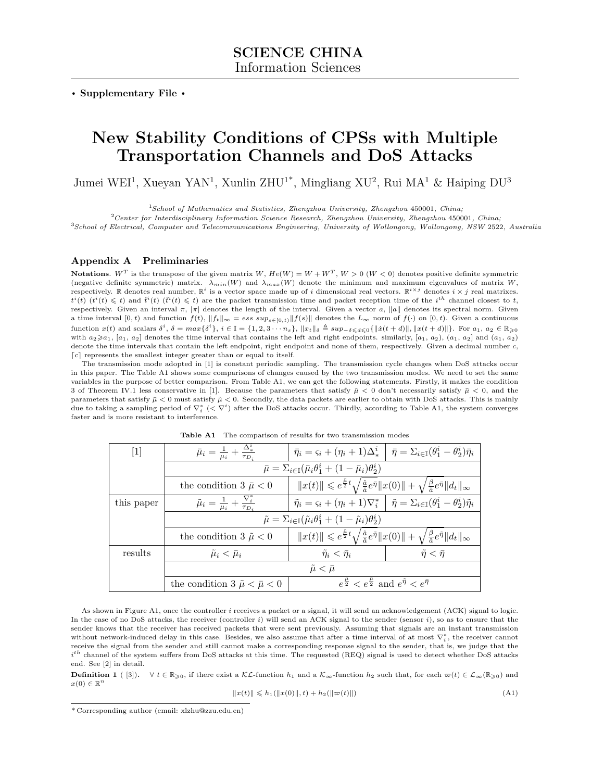**. Supplementary File .**

# **New Stability Conditions of CPSs with Multiple Transportation Channels and DoS Attacks**

Jumei WEI<sup>1</sup>, Xueyan YAN<sup>1</sup>, Xunlin ZHU<sup>1\*</sup>, Mingliang XU<sup>2</sup>, Rui MA<sup>1</sup> & Haiping DU<sup>3</sup>

<sup>1</sup>*School of Mathematics and Statistics, Zhengzhou University, Zhengzhou* 450001*, China;*

<sup>2</sup>*Center for Interdisciplinary Information Science Research, Zhengzhou University, Zhengzhou* 450001*, China;* <sup>3</sup>*School of Electrical, Computer and Telecommunications Engineering, University of Wollongong, Wollongong, NSW* 2522*, Australia*

## **Appendix A Preliminaries**

**Notations**.  $W^T$  is the transpose of the given matrix  $W$ ,  $He(W) = W + W^T$ ,  $W > 0$  ( $W < 0$ ) denotes positive definite symmetric (negative definite symmetric) matrix.  $\lambda_{min}(W)$  and  $\lambda_{max}(W)$  denote the minimum and maximum eigenvalues of matrix *W*, respectively. R denotes real number,  $\mathbb{R}^i$  is a vector space made up of *i* dimensional real vectors.  $\mathbb{R}^{i \times j}$  denotes  $i \times j$  real matrixes.  $t^i(t)$   $(t^i(t) \leq t)$  and  $\hat{t}^i(t)$   $(\hat{t}^i(t) \leq t)$  are the packet transmission time and packet reception time of the  $i^{th}$  channel closest to t, respectively. Given an interval *π*, *|π|* denotes the length of the interval. Given a vector *a*, *∥a∥* denotes its spectral norm. Given a time interval  $[0, t)$  and function  $f(t)$ ,  $||f_t||_{\infty} = \text{ess sup_{s \in [0, t)}} ||f(s)||$  denotes the  $L_{\infty}$  norm of  $f(\cdot)$  on  $[0, t)$ . Given a continuous function  $x(t)$  and scalars  $\delta^i$ ,  $\delta = \max{\{\delta^i\}}$ ,  $i \in \mathbb{I} = \{1, 2, 3 \cdots n_s\}$ ,  $||x_t||_{\delta} \triangleq \sup_{-\delta \leq \delta \leq 0} \{||\dot{x}(t+d)||, ||x(t+d)||\}$ . For  $a_1, a_2 \in \mathbb{R}_{\geq 0}$ with  $a_2 \ge a_1$ ,  $[a_1, a_2]$  denotes the time interval that contains the left and right endpoints. similarly,  $[a_1, a_2)$ ,  $(a_1, a_2]$  and  $(a_1, a_2)$ denote the time intervals that contain the left endpoint, right endpoint and none of them, respectively. Given a decimal number *c*, [c] represents the smallest integer greater than or equal to itself.

The transmission mode adopted in [1] is constant periodic sampling. The transmission cycle changes when DoS attacks occur in this paper. The Table A1 shows some comparisons of changes caused by the two transmission modes. We need to set the same variables in the purpose of better comparison. From Table A1, we can get the following statements. Firstly, it makes the condition 3 of Theorem IV.1 less conservative in [1]. Because the parameters that satisfy  $\tilde{\mu} < 0$  don't necessarily satisfy  $\tilde{\mu} < 0$ , and the parameters that satisfy  $\bar{\mu}$  < 0 must satisfy  $\tilde{\mu}$  < 0. Secondly, the data packets are earlier to obtain with DoS attacks. This is mainly due to taking a sampling period of  $\nabla_i^*$  ( $\lt\nabla^i$ ) after the DoS attacks occur. Thirdly, according to Table A1, the system converges faster and is more resistant to interference.

| $[1]$      | $\bar{\mu}_i = \frac{1}{\mu_i} + \frac{\Delta^i_*}{\tau_{D_i}}$                                     | $\bar{\eta}_i = \varsigma_i + (\eta_i + 1)\Delta^i_* \mid \bar{\eta} = \Sigma_{i \in \mathbb{I}}(\theta_1^i - \theta_2^i)\bar{\eta}_i$                                        |                             |  |  |  |  |
|------------|-----------------------------------------------------------------------------------------------------|-------------------------------------------------------------------------------------------------------------------------------------------------------------------------------|-----------------------------|--|--|--|--|
|            | $\bar{\mu} = \sum_{i \in \mathbb{I}} (\bar{\mu}_i \theta_1^i + (1 - \bar{\mu}_i) \theta_2^i)$       |                                                                                                                                                                               |                             |  |  |  |  |
|            | the condition $3 \bar{\mu} < 0$                                                                     | $  x(t)   \leqslant e^{\frac{\tilde{\mu}}{2}t} \sqrt{\frac{\hat{a}}{\tilde{a}}} e^{\bar{\eta}}   x(0)   + \sqrt{\frac{\beta}{\tilde{a}}} e^{\bar{\eta}}   d_t  _{\infty}$     |                             |  |  |  |  |
| this paper | $\tilde{\mu}_i = \frac{1}{\mu_i} + \frac{\nabla_i^*}{\tau_D}$                                       | $\tilde{\eta}_i = \varsigma_i + (\eta_i + 1)\nabla_i^* \mid \tilde{\eta} = \Sigma_{i \in \mathbb{I}}(\theta_1^i - \theta_2^i)\tilde{\eta}_i$                                  |                             |  |  |  |  |
|            | $\tilde{\mu} = \sum_{i \in \mathbb{I}} (\tilde{\mu}_i \theta_1^i + (1 - \tilde{\mu}_i) \theta_2^i)$ |                                                                                                                                                                               |                             |  |  |  |  |
|            | the condition 3 $\tilde{\mu}$ < 0                                                                   | $  x(t)   \leqslant e^{\frac{\tilde{\mu}}{2}t} \sqrt{\frac{\hat{a}}{\tilde{a}}} e^{\tilde{\eta}}   x(0)   + \sqrt{\frac{\beta}{\tilde{a}}} e^{\tilde{\eta}}   d_t  _{\infty}$ |                             |  |  |  |  |
| results    | $\tilde{\mu}_i < \bar{\mu}_i$                                                                       | $\tilde{\eta}_i < \bar{\eta}_i$                                                                                                                                               | $\tilde{\eta} < \bar{\eta}$ |  |  |  |  |
|            | $\tilde{\mu} < \bar{\mu}$                                                                           |                                                                                                                                                                               |                             |  |  |  |  |
|            | the condition 3 $\tilde{\mu} < \bar{\mu} < 0$                                                       | $e^{\frac{\mu}{2}} < e^{\frac{\mu}{2}}$ and $e^{\tilde{\eta}} < e^{\bar{\eta}}$                                                                                               |                             |  |  |  |  |

**Table A1** The comparison of results for two transmission modes

As shown in Figure A1, once the controller *i* receives a packet or a signal, it will send an acknowledgement (ACK) signal to logic. In the case of no DoS attacks, the receiver (controller *i*) will send an ACK signal to the sender (sensor *i*), so as to ensure that the sender knows that the receiver has received packets that were sent previously. Assuming that signals are an instant transmission without network-induced delay in this case. Besides, we also assume that after a time interval of at most *∇<sup>∗</sup> i* , the receiver cannot receive the signal from the sender and still cannot make a corresponding response signal to the sender, that is, we judge that the *i th* channel of the system suffers from DoS attacks at this time. The requested (REQ) signal is used to detect whether DoS attacks end. See [2] in detail.

**Definition 1** ( [3]).  $\forall t \in \mathbb{R}_{\geqslant 0}$ , if there exist a  $\mathcal{KL}$ -function  $h_1$  and a  $\mathcal{K}_{\infty}$ -function  $h_2$  such that, for each  $\varpi(t) \in \mathcal{L}_{\infty}(\mathbb{R}_{\geqslant 0})$  and  $x(0) \in \mathbb{R}^n$ 

$$
||x(t)|| \leq h_1(||x(0)||, t) + h_2(||\varpi(t)||)
$$
\n(A1)

<sup>\*</sup> Corresponding author (email: xlzhu@zzu.edu.cn)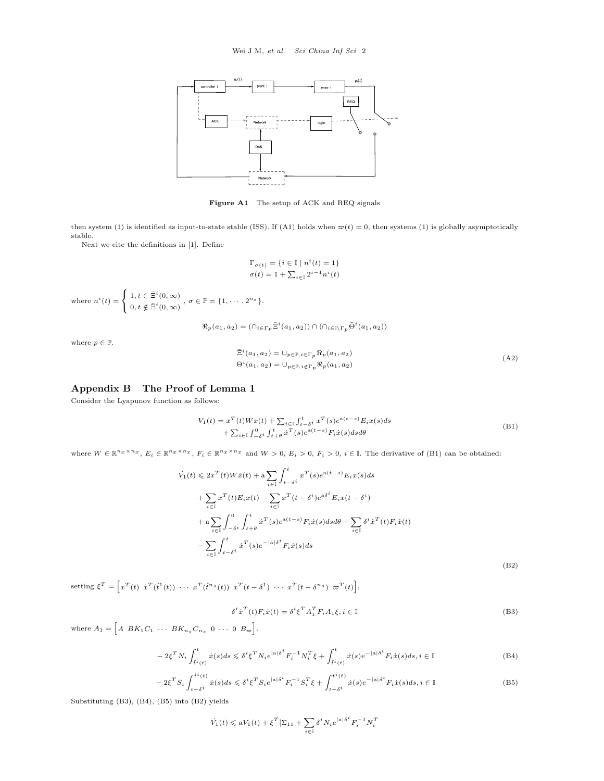

**Figure A1** The setup of ACK and REQ signals

then system (1) is identified as input-to-state stable (ISS). If (A1) holds when  $\varpi(t) = 0$ , then systems (1) is globally asymptotically stable.

Next we cite the definitions in [1]. Define

$$
\Gamma_{\sigma(t)} = \{ i \in \mathbb{I} \mid n^i(t) = 1 \}
$$

$$
\sigma(t) = 1 + \sum_{i \in \mathbb{I}} 2^{i-1} n^i(t)
$$

where 
$$
n^i(t) = \begin{cases} 1, t \in \bar{\Xi}^i(0, \infty) \\ 0, t \notin \bar{\Xi}^i(0, \infty) \end{cases}
$$
,  $\sigma \in \mathbb{P} = \{1, \cdots, 2^{n_s}\}.$ 

 $\Re_p(a_1, a_2) = (\bigcap_{i \in \Gamma_p} \bar{\Xi}^i(a_1, a_2)) \cap (\bigcap_{i \in \mathbb{I} \setminus \Gamma_p} \bar{\Theta}^i(a_1, a_2))$ 

where  $p \in \mathbb{P}$ .

$$
\begin{aligned} \bar{\Xi}^i(a_1, a_2) &= \cup_{p \in \mathbb{P}, i \in \Gamma_p} \Re_p(a_1, a_2) \\ \bar{\Theta}^i(a_1, a_2) &= \cup_{p \in \mathbb{P}, i \notin \Gamma_p} \Re_p(a_1, a_2) \end{aligned} \tag{A2}
$$

# **Appendix B The Proof of Lemma 1**

Consider the Lyapunov function as follows:

$$
V_1(t) = x^T(t)Wx(t) + \sum_{i \in I} \int_{t-\delta i}^t x^T(s)e^{a(t-s)}E_ix(s)ds + \sum_{i \in I} \int_{-\delta i}^0 \int_{t+\delta}^t x^T(s)e^{a(t-s)}F_ix(s)dsd\theta
$$
 (B1)

where  $W \in \mathbb{R}^{n_x \times n_x}$ ,  $E_i \in \mathbb{R}^{n_x \times n_x}$ ,  $F_i \in \mathbb{R}^{n_x \times n_x}$  and  $W > 0$ ,  $E_i > 0$ ,  $F_i > 0$ ,  $i \in \mathbb{I}$ . The derivative of (B1) can be obtained:

$$
\dot{V}_1(t) \leq 2x^T(t)W\dot{x}(t) + a \sum_{i \in I} \int_{t-s^i}^t x^T(s)e^{a(t-s)}E_i x(s)ds
$$
\n
$$
+ \sum_{i \in I} x^T(t)E_i x(t) - \sum_{i \in I} x^T(t - \delta^i)e^{a\delta^i}E_i x(t - \delta^i)
$$
\n
$$
+ a \sum_{i \in I} \int_{-\delta^i}^0 \int_{t+\theta}^t x^T(s)e^{a(t-s)}F_i \dot{x}(s)dsd\theta + \sum_{i \in I} \delta^i \dot{x}^T(t)F_i \dot{x}(t)
$$
\n
$$
- \sum_{i \in I} \int_{t-\delta^i}^t x^T(s)e^{-|a|\delta^i}F_i \dot{x}(s)ds
$$
\n(B2)

setting  $\xi^T = \left[ x^T(t) \hspace{2mm} x^T(\hat{t}^1(t)) \hspace{2mm} \cdots \hspace{2mm} x^T(\hat{t}^{n_s}(t)) \hspace{2mm} x^T(t-\delta^1) \hspace{2mm} \cdots \hspace{2mm} x^T(t-\delta^{n_s}) \hspace{2mm} \varpi^T(t) \right],$ 

$$
\delta^i \dot{x}^T(t) F_i \dot{x}(t) = \delta^i \xi^T A_1^T F_i A_1 \xi, i \in \mathbb{I}
$$
\n(B3)

where  $A_1 = \begin{bmatrix} A & BK_1C_1 & \cdots & BK_{n_s}C_{n_s} & 0 & \cdots & 0 & B_{\varpi} \end{bmatrix}$ .

$$
-2\xi^T N_i \int_{\ell^i(t)}^t \dot{x}(s)ds \leqslant \delta^i \xi^T N_i e^{|a|\delta^i} F_i^{-1} N_i^T \xi + \int_{\ell^i(t)}^t \dot{x}(s) e^{-|a|\delta^i} F_i \dot{x}(s) ds, i \in \mathbb{I}
$$
\n(B4)

$$
-2\xi^T S_i \int_{t-\delta^i}^{t^i(t)} \dot{x}(s)ds \leq \delta^i \xi^T S_i e^{|a|\delta^i} F_i^{-1} S_i^T \xi + \int_{t-\delta^i}^{t^i(t)} \dot{x}(s) e^{-|a|\delta^i} F_i \dot{x}(s)ds, i \in \mathbb{I}
$$
\n(B5)

Substituting (B3), (B4), (B5) into (B2) yields

$$
\dot{V}_1(t) \leqslant \mathbf{a} V_1(t) + \xi^T \left[\Sigma_{11} + \sum_{i \in \mathbb{I}} \delta^i N_i e^{|\mathbf{a}|\delta^i} F_i^{-1} N_i^T \right]
$$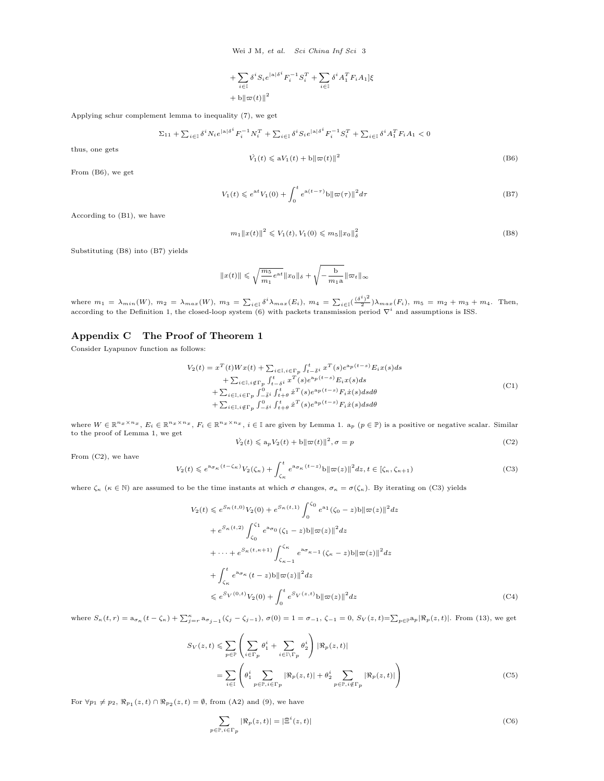Wei J M*, et al. Sci China Inf Sci* 3

+ 
$$
\sum_{i \in \mathbb{I}} \delta^i S_i e^{|a|\delta^i} F_i^{-1} S_i^T + \sum_{i \in \mathbb{I}} \delta^i A_1^T F_i A_1 \xi
$$
+ 
$$
\frac{1}{2} + \frac{1}{2} \|\varpi(t)\|^2
$$

Applying schur complement lemma to inequality (7), we get

$$
\Sigma_{11} + \sum_{i\in\mathbb{I}} \delta^i N_i e^{|{\bf a}|\delta^i} F_i^{-1} N_i^T + \sum_{i\in\mathbb{I}} \delta^i S_i e^{|{\bf a}|\delta^i} F_i^{-1} S_i^T + \sum_{i\in\mathbb{I}} \delta^i A_1^T F_i A_1 < 0
$$

$$
\dot{V}_1(t) \leqslant aV_1(t) + b\|\varpi(t)\|^2 \tag{B6}
$$

From (B6), we get

thus, one gets

$$
V_1(t) \leqslant e^{at} V_1(0) + \int_0^t e^{a(t-\tau)} b \|\varpi(\tau)\|^2 d\tau
$$
\n(B7)

According to (B1), we have

$$
m_1 \|x(t)\|^2 \leqslant V_1(t), V_1(0) \leqslant m_5 \|x_0\|_{\delta}^2 \tag{B8}
$$

Substituting (B8) into (B7) yields

$$
||x(t)|| \le \sqrt{\frac{m_5}{m_1}e^{at}}||x_0||_{\delta} + \sqrt{-\frac{b}{m_1a}}||\varpi_t||_{\infty}
$$

where  $m_1 = \lambda_{min}(W)$ ,  $m_2 = \lambda_{max}(W)$ ,  $m_3 = \sum_{i \in I} \delta^i \lambda_{max}(E_i)$ ,  $m_4 = \sum_{i \in I} (\frac{(\delta^i)^2}{2}) \lambda_{max}(F_i)$ ,  $m_5 = m_2 + m_3 + m_4$ . Then, according to the Definition 1, the closed-loop system (6) with packets transmission period *∇<sup>i</sup>* and assumptions is ISS.

# **Appendix C The Proof of Theorem 1**

Consider Lyapunov function as follows:

$$
V_2(t) = x^T(t)Wx(t) + \sum_{i \in I, i \in \Gamma_p} \int_{t-\bar{s}i}^t x^T(s)e^{a_p(t-s)} E_i x(s) ds + \sum_{i \in I, i \notin \Gamma_p} \int_{t-\delta i}^t x^T(s)e^{a_p(t-s)} E_i x(s) ds + \sum_{i \in I, i \in \Gamma_p} \int_{-\bar{s}i}^0 \int_{t+\theta}^t x^T(s)e^{a_p(t-s)} F_i \dot{x}(s) ds d\theta + \sum_{i \in I, i \notin \Gamma_p} \int_{-\delta i}^0 \int_{t+\theta}^t x^T(s)e^{a_p(t-s)} F_i \dot{x}(s) ds d\theta
$$
\n
$$
(C1)
$$

where  $W \in \mathbb{R}^{n_x \times n_x}$ ,  $E_i \in \mathbb{R}^{n_x \times n_x}$ ,  $F_i \in \mathbb{R}^{n_x \times n_x}$ ,  $i \in \mathbb{I}$  are given by Lemma 1.  $a_p$   $(p \in \mathbb{P})$  is a positive or negative scalar. Similar to the proof of Lemma 1, we get

$$
\dot{V}_2(t) \leqslant a_p V_2(t) + b \|\varpi(t)\|^2, \sigma = p \tag{C2}
$$

From (C2), we have

$$
V_2(t) \leq e^{a_{\sigma_{\kappa}}(t-\zeta_{\kappa})} V_2(\zeta_{\kappa}) + \int_{\zeta_{\kappa}}^t e^{a_{\sigma_{\kappa}}(t-z)} b \|\varpi(z)\|^2 dz, t \in [\zeta_{\kappa}, \zeta_{\kappa+1})
$$
(C3)

where  $\zeta_{\kappa}$  ( $\kappa \in \mathbb{N}$ ) are assumed to be the time instants at which  $\sigma$  changes,  $\sigma_{\kappa} = \sigma(\zeta_{\kappa})$ . By iterating on (C3) yields

$$
V_2(t) \leq e^{S_{\kappa}(t,0)} V_2(0) + e^{S_{\kappa}(t,1)} \int_0^{\zeta_0} e^{a_1} (\zeta_0 - z) b ||\varpi(z)||^2 dz
$$
  
+  $e^{S_{\kappa}(t,2)} \int_{\zeta_0}^{\zeta_1} e^{a\sigma_0} (\zeta_1 - z) b ||\varpi(z)||^2 dz$   
+  $\cdots + e^{S_{\kappa}(t,\kappa+1)} \int_{\zeta_{\kappa-1}}^{\zeta_{\kappa}} e^{a\sigma_{\kappa-1}} (\zeta_{\kappa} - z) b ||\varpi(z)||^2 dz$   
+  $\int_{\zeta_{\kappa}}^t e^{a\sigma_{\kappa}} (t - z) b ||\varpi(z)||^2 dz$   
 $\leq e^{S_V(0,t)} V_2(0) + \int_0^t e^{S_V(z,t)} b ||\varpi(z)||^2 dz$  (C4)

where  $S_{\kappa}(t,r) = a_{\sigma_{\kappa}}(t - \zeta_{\kappa}) + \sum_{j=r}^{\kappa} a_{\sigma_{j-1}}(\zeta_j - \zeta_{j-1}), \sigma(0) = 1 = \sigma_{-1}, \zeta_{-1} = 0, S_V(z,t) = \sum_{p \in \mathbb{P}} a_p |\Re_p(z,t)|.$  From (13), we get

$$
S_V(z,t) \leq \sum_{p \in \mathbb{P}} \left( \sum_{i \in \Gamma_p} \theta_1^i + \sum_{i \in \mathbb{I} \setminus \Gamma_p} \theta_2^i \right) |\Re_p(z,t)|
$$
  
= 
$$
\sum_{i \in \mathbb{I}} \left( \theta_1^i \sum_{p \in \mathbb{P}, i \in \Gamma_p} |\Re_p(z,t)| + \theta_2^i \sum_{p \in \mathbb{P}, i \notin \Gamma_p} |\Re_p(z,t)| \right)
$$
 (C5)

For  $∀p_1 ≠ p_2, \, \Re_{p_1}(z, t) \cap \Re_{p_2}(z, t) = ∅$ , from (A2) and (9), we have

$$
\sum_{p \in \mathbb{P}, i \in \Gamma_p} |\Re_p(z, t)| = |\bar{\Xi}^i(z, t)| \tag{C6}
$$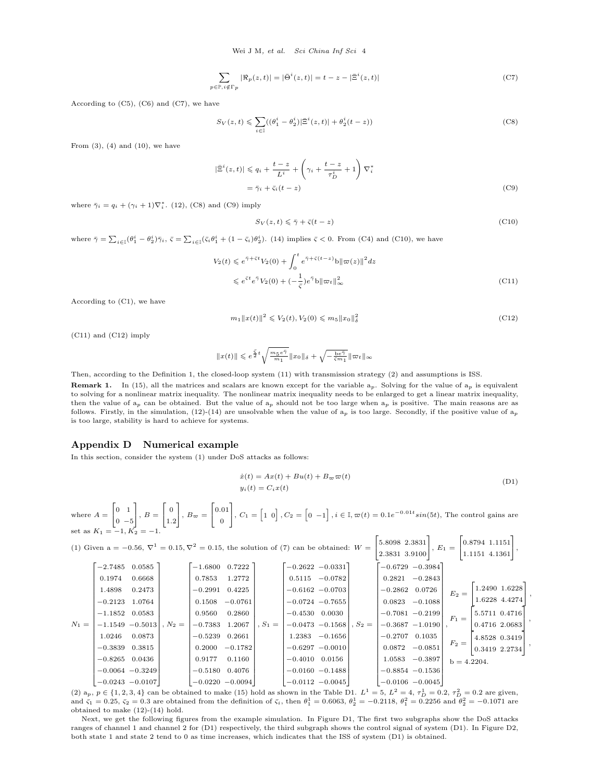$$
\sum_{p \in \mathbb{P}, i \notin \Gamma} |\Re_p(z, t)| = |\bar{\Theta}^i(z, t)| = t - z - |\bar{\Xi}^i(z, t)| \tag{C7}
$$

According to (C5), (C6) and (C7), we have

$$
S_V(z,t) \leq \sum_{i \in I} ((\theta_1^i - \theta_2^i) | \bar{\Xi}^i(z,t) | + \theta_2^i(t-z))
$$
 (C8)

From  $(3)$ ,  $(4)$  and  $(10)$ , we have

$$
|\Xi^{i}(z,t)| \leqslant q_{i} + \frac{t-z}{L^{i}} + \left(\gamma_{i} + \frac{t-z}{\tau_{D}^{i}} + 1\right) \nabla_{i}^{*}
$$

$$
= \bar{\gamma}_{i} + \bar{\varsigma}_{i}(t-z)
$$
(C9)

where  $\bar{\gamma}_i = q_i + (\gamma_i + 1)\nabla_i^*$ . (12), (C8) and (C9) imply

$$
S_V(z,t) \leq \bar{\gamma} + \bar{\varsigma}(t-z) \tag{C10}
$$

where  $\bar{\gamma} = \sum_{i \in I} (\theta_1^i - \theta_2^i) \bar{\gamma}_i$ ,  $\bar{\zeta} = \sum_{i \in I} (\bar{\zeta}_i \theta_1^i + (1 - \bar{\zeta}_i) \theta_2^i)$ . (14) implies  $\bar{\zeta} < 0$ . From (C4) and (C10), we have

$$
V_2(t) \leq e^{\tilde{\gamma} + \tilde{\varsigma}t} V_2(0) + \int_0^t e^{\tilde{\gamma} + \tilde{\varsigma}(t - z)} b \|\varpi(z)\|^2 dz
$$
  

$$
\leq e^{\tilde{\varsigma}t} e^{\tilde{\gamma}} V_2(0) + (-\frac{1}{\tilde{\varsigma}}) e^{\tilde{\gamma}} b \|\varpi_t\|_{\infty}^2
$$
 (C11)

According to (C1), we have

$$
m_1 \|x(t)\|^2 \leqslant V_2(t), V_2(0) \leqslant m_5 \|x_0\|^2_{\delta}
$$
\n(C12)

(C11) and (C12) imply

$$
||x(t)||\leqslant e^{\frac{\bar{\zeta}}{2}t}\sqrt{\tfrac{m_5e^{\bar{\gamma}}}{m_1}}||x_0||_\delta+\sqrt{-\tfrac{\mathbf{b}e^{\bar{\gamma}}}{\bar{\zeta}m_1}}||\varpi_t||_\infty
$$

Then, according to the Definition 1, the closed-loop system (11) with transmission strategy (2) and assumptions is ISS.

**Remark 1.** In (15), all the matrices and scalars are known except for the variable  $a_p$ . Solving for the value of  $a_p$  is equivalent to solving for a nonlinear matrix inequality. The nonlinear matrix inequality needs to be enlarged to get a linear matrix inequality, then the value of a*<sup>p</sup>* can be obtained. But the value of a*<sup>p</sup>* should not be too large when a*<sup>p</sup>* is positive. The main reasons are as follows. Firstly, in the simulation,  $(12)-(14)$  are unsolvable when the value of  $a_p$  is too large. Secondly, if the positive value of  $a_p$ is too large, stability is hard to achieve for systems.

#### **Appendix D Numerical example**

In this section, consider the system (1) under DoS attacks as follows:

$$
\begin{aligned} \dot{x}(t) &= Ax(t) + Bu(t) + B_{\varpi} \varpi(t) \\ y_i(t) &= C_i x(t) \end{aligned} \tag{D1}
$$

where  $A =$  $\sqrt{ }$  $\overline{1}$ 0 1 0 *−*5 ٦  $\Big\vert$ ,  $B=$ Е  $\mathbf{I}$ 0 1*.*2 ı  $\Big\vert$ ,  $B_{\varpi} =$ Е  $\mathbf{I}$ 0*.*01 0 ٦  $\left[0, C_1 = \left[1 \ 0\right], C_2 = \left[0 \ -1\right], i \in \mathbb{I}, \varpi(t) = 0.1 e^{-0.01t} \sin(5t)$ , The control gains are set as  $K_1 = -1, K_2 = -1.$ 

(1) Given a =  $-0.56$ ,  $\nabla^1 = 0.15$ ,  $\nabla^2 = 0.15$ , the solution of (7) can be obtained: *W* = Е  $\mathbf{I}$ 5*.*8098 2*.*3831 2*.*3831 3*.*9100 ٦  $\Big\vert$ ,  $E_1 =$ Е  $\mathbf{I}$ 0*.*8794 1*.*1151 1*.*1151 4*.*1361 ٦  $\vert$ ,  $N_1 =$ Е ÷  $\mathbf{I}$  $\mathbf{I}$  $\mathbf{I}$  $\mathbf{I}$  $\mathbf{I}$ ÷  $\mathbf{I}$  $\mathbf{I}$  $\mathbf{I}$  $\mathbf{I}$  $\mathbf{I}$  $\mathbf{I}$ ÷  $\mathbf{I}$  $\mathbf{I}$  $\mathbf{I}$  $\mathbf{I}$  $\mathbf{I}$  *−*0*.*8265 0*.*0436  $\mathbf{I}$  *−*0*.*0064 *−*0*.*3249 *−*0*.*0243 *−*0*.*0107 *−*2*.*7485 0*.*0585 0*.*1974 0*.*6668 1*.*4898 0*.*2473 *−*0*.*2123 1*.*0764 *−*1*.*1852 0*.*0583 *−*1*.*1549 *−*0*.*5013 1*.*0246 0*.*0873 *−*0*.*3839 0*.*3815 ı  $\mathbf{I}$  $\overline{1}$  $\mathbf{I}$  $\mathbf{I}$  $\mathbf{I}$  $\mathbf{I}$  $\mathbf{I}$  $\overline{1}$  $\mathbf{I}$  $\mathbf{I}$  $\mathbf{I}$  $\mathbf{I}$  $\mathbf{I}$  $\mathbf{I}$  $\overline{1}$  $\mathbf{I}$  $\mathbf{I}$  $\mathbf{I}$  $\mathbf{I}$  $\mathbf{I}$  $\overline{1}$  $\mathbf{I}$  $\mathbf{I}$  $\mathbf{I}$  $, N_2 =$ Е ÷  $\mathbf{I}$  $\mathbf{I}$  $\mathbf{I}$  $\mathbf{I}$  $\mathbf{I}$ ÷  $\mathbf{I}$  $\mathbf{I}$  $\mathbf{I}$  $\mathbf{I}$  $\mathbf{I}$  $\mathbf{I}$ ÷  $\mathbf{I}$  $\mathbf{I}$  $\mathbf{I}$  $\mathbf{I}$  $\mathbf{I}$ ÷  $\mathbf{I}$  $\mathbf{I}$  $\mathbf{I}$  $\mathbf{I}$  *−*0*.*0220 *−*0*.*0094 *−*1*.*6800 0*.*7222 0*.*7853 1*.*2772 *−*0*.*2991 0*.*4225 0*.*1508 *−*0*.*0761 0*.*9560 0*.*2860 *−*0*.*7383 1*.*2067 *−*0*.*5239 0*.*2661 0*.*2000 *−*0*.*1782 0*.*9177 0*.*1160 *−*0*.*5180 0*.*4076 ı  $\mathbf{I}$  $\overline{1}$  $\mathbf{I}$  $\mathbf{I}$  $\mathbf{I}$  $\mathbf{I}$  $\mathbf{I}$  $\overline{1}$  $\mathbf{I}$  $\mathbf{I}$  $\mathbf{I}$  $\mathbf{I}$  $\mathbf{I}$  $\mathbf{I}$  $\overline{1}$  $\mathbf{I}$  $\mathbf{I}$  $\mathbf{I}$  $\mathbf{I}$  $\mathbf{I}$  $\overline{1}$  $\mathbf{I}$  $\mathbf{I}$  $\mathbf{I}$  $, S_1 =$  $\sqrt{ }$  $\mathbf{I}$  $\overline{1}$  $\overline{1}$  $\overline{1}$  $\overline{1}$  $\overline{1}$  $\mathbf{I}$  $\overline{1}$  $\overline{1}$  $\overline{1}$  $\overline{1}$  $\overline{1}$  $\overline{1}$  $\frac{1}{2}$  $\overline{1}$  $\overline{1}$  $\overline{1}$  $\overline{1}$  $\overline{1}$  $\frac{1}{2}$  $\overline{1}$  $\overline{1}$  $\overline{1}$  $\overline{1}$  $\overline{1}$ *−*0*.*2622 *−*0*.*0331 0*.*5115 *−*0*.*0782 *−*0*.*6162 *−*0*.*0703 *−*0*.*0724 *−*0*.*7655 *−*0*.*4530 0*.*0030 *−*0*.*0473 *−*0*.*1568 1*.*2383 *−*0*.*1656 *−*0*.*6297 *−*0*.*0010 *−*0*.*4010 0*.*0156 *−*0*.*0160 *−*0*.*1488 *−*0*.*0112 *−*0*.*0045  $\mathbf{I}$  $\mathbf{I}$  $\mathbf{I}$  $\mathbf{I}$  $\mathbf{I}$ Ł  $\mathbf{I}$  $\mathbf{I}$  $\mathbf{I}$  $\mathbf{I}$  $\mathbf{I}$  $\mathbf{I}$ Ł  $\mathbf{I}$  $\mathbf{I}$  $\mathbf{I}$  $\mathbf{I}$  $\mathbf{I}$ Ł  $\mathbf{I}$  $\mathbf{I}$  $\mathbf{I}$  $\mathbf{I}$  $, S_2 =$ F  $\mathbf{I}$  $\overline{1}$  $\overline{1}$  $\overline{1}$  $\overline{1}$  $\overline{1}$  $\mathbf{I}$  $\overline{1}$  $\overline{1}$  $\overline{1}$  $\overline{1}$  $\overline{1}$  $\overline{1}$  $\frac{1}{2}$  $\overline{1}$  $\overline{1}$  $\overline{1}$  $\overline{1}$  $\overline{1}$  $\frac{1}{2}$  $\overline{1}$  $\overline{1}$  $\overline{1}$  $\overline{1}$  $\overline{1}$ *−*0*.*6729 *−*0*.*3984 0*.*2821 *−*0*.*2843 *−*0*.*2862 0*.*0726 0*.*0823 *−*0*.*1088 *−*0*.*7081 *−*0*.*2199 *−*0*.*3687 *−*1*.*0190 *−*0*.*2707 0*.*1035 0*.*0872 *−*0*.*0851 1*.*0583 *−*0*.*3897 *−*0*.*8854 *−*0*.*1536 *−*0*.*0106 *−*0*.*0045 Ł  $\mathbf{I}$  $\mathbf{I}$  $\mathbf{I}$  $\mathbf{I}$  $\mathbf{I}$ Ł  $\mathbf{I}$  $\mathbf{I}$  $\mathbf{I}$  $\mathbf{I}$  $\mathbf{I}$ Ł  $\mathbf{I}$  $\mathbf{I}$  $\mathbf{I}$  $\mathbf{I}$  $\mathbf{I}$ Ł  $\mathbf{I}$  $\mathbf{I}$  $\mathbf{I}$  $\mathbf{I}$ ,  $E_2 =$  1*.*2490 1*.*6228 1*.*6228 4*.*4274 ı *,*  $F_1 =$  5*.*5711 0*.*4716  $\mathbf{I}$ 0*.*4716 2*.*0683 T *,*  $F_2 =$ Е 0*.*3419 2*.*2734 4*.*8528 0*.*3419 ı *,*  $b = 4.2204$ 

(2)  $a_p$ ,  $p \in \{1, 2, 3, 4\}$  can be obtained to make (15) hold as shown in the Table D1.  $L^1 = 5$ ,  $L^2 = 4$ ,  $\tau_D^1 = 0.2$ ,  $\tau_D^2 = 0.2$  are given, and  $\bar{\varsigma}_1 = 0.25$ ,  $\bar{\varsigma}_2 = 0.3$  are obtained from the definition of  $\bar{\varsigma}_i$ , then  $\theta_1^1 = 0.6063$ ,  $\theta_2^1 = -0.2118$ ,  $\theta_1^2 = 0.2256$  and  $\theta_2^2 = -0.1071$  are obtained to make (12)-(14) hold.

Next, we get the following figures from the example simulation. In Figure D1, The first two subgraphs show the DoS attacks ranges of channel 1 and channel 2 for (D1) respectively, the third subgraph shows the control signal of system (D1). In Figure D2, both state 1 and state 2 tend to 0 as time increases, which indicates that the ISS of system (D1) is obtained.